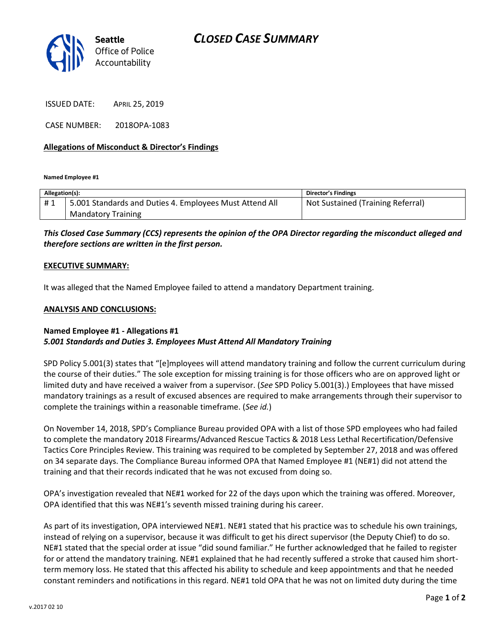

ISSUED DATE: APRIL 25, 2019

CASE NUMBER: 2018OPA-1083

### **Allegations of Misconduct & Director's Findings**

**Named Employee #1**

| Allegation(s): |                                                         | Director's Findings               |
|----------------|---------------------------------------------------------|-----------------------------------|
| #1             | 5.001 Standards and Duties 4. Employees Must Attend All | Not Sustained (Training Referral) |
|                | <b>Mandatory Training</b>                               |                                   |

## *This Closed Case Summary (CCS) represents the opinion of the OPA Director regarding the misconduct alleged and therefore sections are written in the first person.*

#### **EXECUTIVE SUMMARY:**

It was alleged that the Named Employee failed to attend a mandatory Department training.

#### **ANALYSIS AND CONCLUSIONS:**

## **Named Employee #1 - Allegations #1** *5.001 Standards and Duties 3. Employees Must Attend All Mandatory Training*

SPD Policy 5.001(3) states that "[e]mployees will attend mandatory training and follow the current curriculum during the course of their duties." The sole exception for missing training is for those officers who are on approved light or limited duty and have received a waiver from a supervisor. (*See* SPD Policy 5.001(3).) Employees that have missed mandatory trainings as a result of excused absences are required to make arrangements through their supervisor to complete the trainings within a reasonable timeframe. (*See id.*)

On November 14, 2018, SPD's Compliance Bureau provided OPA with a list of those SPD employees who had failed to complete the mandatory 2018 Firearms/Advanced Rescue Tactics & 2018 Less Lethal Recertification/Defensive Tactics Core Principles Review. This training was required to be completed by September 27, 2018 and was offered on 34 separate days. The Compliance Bureau informed OPA that Named Employee #1 (NE#1) did not attend the training and that their records indicated that he was not excused from doing so.

OPA's investigation revealed that NE#1 worked for 22 of the days upon which the training was offered. Moreover, OPA identified that this was NE#1's seventh missed training during his career.

As part of its investigation, OPA interviewed NE#1. NE#1 stated that his practice was to schedule his own trainings, instead of relying on a supervisor, because it was difficult to get his direct supervisor (the Deputy Chief) to do so. NE#1 stated that the special order at issue "did sound familiar." He further acknowledged that he failed to register for or attend the mandatory training. NE#1 explained that he had recently suffered a stroke that caused him shortterm memory loss. He stated that this affected his ability to schedule and keep appointments and that he needed constant reminders and notifications in this regard. NE#1 told OPA that he was not on limited duty during the time